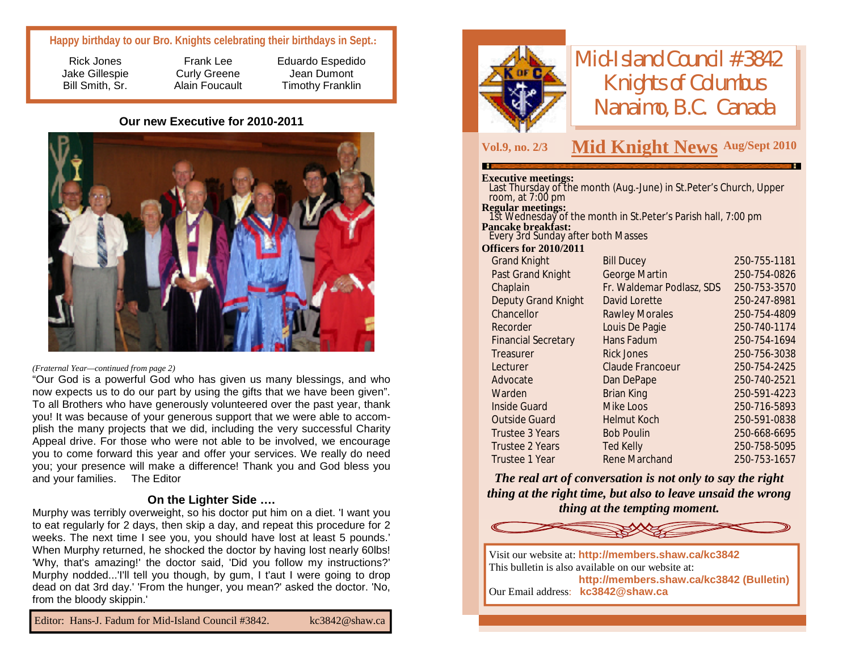### **Happy birthday to our Bro. Knights celebrating their birthdays in Sept.:**

Rick Jones Jake Gillespie Bill Smith, Sr.

Frank Lee Curly Greene Alain Foucault Eduardo Espedido Jean Dumont Timothy Franklin

#### **Our new Executive for 2010-2011**



#### *(Fraternal Year—continued from page 2)*

"Our God is a powerful God who has given us many blessings, and who now expects us to do our part by using the gifts that we have been given". To all Brothers who have generously volunteered over the past year, thank you! It was because of your generous support that we were able to accomplish the many projects that we did, including the very successful Charity Appeal drive. For those who were not able to be involved, we encourage you to come forward this year and offer your services. We really do need you; your presence will make a difference! Thank you and God bless you and your families. The Editor

### **On the Lighter Side ….**

Murphy was terribly overweight, so his doctor put him on a diet. 'I want you to eat regularly for 2 days, then skip a day, and repeat this procedure for 2 weeks. The next time I see you, you should have lost at least 5 pounds.' When Murphy returned, he shocked the doctor by having lost nearly 60lbs! 'Why, that's amazing!' the doctor said, 'Did you follow my instructions?' Murphy nodded...'I'll tell you though, by gum, I t'aut I were going to drop dead on dat 3rd day.' 'From the hunger, you mean?' asked the doctor. 'No, from the bloody skippin.'

Editor: Hans-J. Fadum for Mid-Island Council #3842. [kc3842@shaw.ca](mailto:kc3842@shaw.ca)



# *Mid-Island Council #3842 Knights of Columbus Nanaimo, B.C. Canada*

## **Vol.9, no. 2/3 M Aug/Sept <sup>2010</sup> id Knight News**

#### **Executive meetings:**

| room, at $7:00 \text{ pm}$<br>Regular meetings:<br>1st Wednesday of the month in St.Peter's Parish hall, 7:00 pm<br><b>Pancake breakfast:</b><br>Every 3rd Sunday after both Masses<br><b>Officers for 2010/2011</b> |              |
|----------------------------------------------------------------------------------------------------------------------------------------------------------------------------------------------------------------------|--------------|
|                                                                                                                                                                                                                      |              |
|                                                                                                                                                                                                                      |              |
|                                                                                                                                                                                                                      |              |
|                                                                                                                                                                                                                      |              |
|                                                                                                                                                                                                                      |              |
| <b>Grand Knight</b><br><b>Bill Ducey</b>                                                                                                                                                                             | 250-755-1181 |
| George Martin<br>Past Grand Knight                                                                                                                                                                                   | 250-754-0826 |
| Fr. Waldemar Podlasz, SDS<br>Chaplain                                                                                                                                                                                | 250-753-3570 |
| Deputy Grand Knight<br>David Lorette                                                                                                                                                                                 | 250-247-8981 |
| Chancellor<br><b>Rawley Morales</b>                                                                                                                                                                                  | 250-754-4809 |
| Louis De Pagie<br>Recorder                                                                                                                                                                                           | 250-740-1174 |
| Hans Fadum<br><b>Financial Secretary</b>                                                                                                                                                                             | 250-754-1694 |
| <b>Rick Jones</b><br>Treasurer                                                                                                                                                                                       | 250-756-3038 |
| Claude Francoeur<br>Lecturer                                                                                                                                                                                         | 250-754-2425 |
| Advocate<br>Dan DePape                                                                                                                                                                                               | 250-740-2521 |
| Warden<br><b>Brian King</b>                                                                                                                                                                                          | 250-591-4223 |
| Inside Guard<br>Mike Loos                                                                                                                                                                                            | 250-716-5893 |
| <b>Outside Guard</b><br><b>Helmut Koch</b>                                                                                                                                                                           | 250-591-0838 |
| <b>Bob Poulin</b><br>Trustee 3 Years                                                                                                                                                                                 | 250-668-6695 |
| Trustee 2 Years<br>Ted Kelly                                                                                                                                                                                         | 250-758-5095 |
| Rene Marchand<br>Trustee 1 Year                                                                                                                                                                                      | 250-753-1657 |

*The real art of conversation is not only to say the right thing at the right time, but also to leave unsaid the wrong thing at the tempting moment.*



Visit our website at: **<http://members.shaw.ca/kc3842>** This bulletin is also available on our website at: **<http://members.shaw.ca/kc3842> (Bulletin)** Our Email address: **[kc3842@shaw.ca](mailto:kc3842@shaw.ca)**